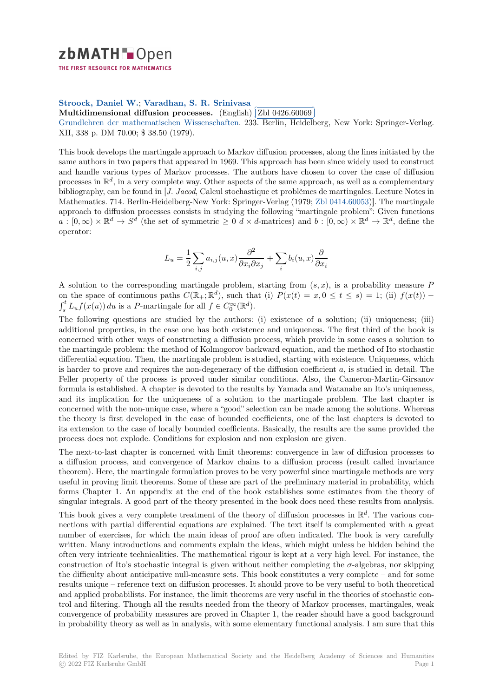## zbMATH-Open

THE FIRST RESOURCE FOR MATHEMATICS

## **Stroock, Daniel W.**; **Varadhan, S. R. Srinivasa**

Stroock, Daillet W.; Varadhall, S. R. Srillivasa<br>[M](https://zbmath.org/)ultidimensional diffusion processes. (English) **Zbl 0426.60069** i.

✂ ✁ Grundlehren der mathematischen Wissenschaften. 233. Berlin, Heidelberg, New York: Springer-Verlag. XII, 338 p. DM 70.00; \$ 38.50 (1979).

[This book develops the martingale approach](https://zbmath.org/0426.60069) [to Markov](https://zbmath.org/authors/?q=ai:varadhan.s-r-srinivasa) [diffusion processe](https://zbmath.org/0426.60069)s, along the lines initiated by the [same authors in two papers that appeared in 1969.](https://zbmath.org/journals/?q=se:3921) This approach has been since widely used to construct and handle various types of Markov processes. The authors have chosen to cover the case of diffusion processes in  $\mathbb{R}^d$ , in a very complete way. Other aspects of the same approach, as well as a complementary bibliography, can be found in [*J. Jacod*, Calcul stochastique et problèmes de martingales. Lecture Notes in Mathematics. 714. Berlin-Heidelberg-New York: Springer-Verlag (1979; Zbl 0414.60053)]. The martingale approach to diffusion processes consists in studying the following "martingale problem": Given functions  $a:[0,\infty)\times\mathbb{R}^d\to S^d$  (the set of symmetric  $\geq 0$  d  $\times$  d-matrices) and  $b:[0,\infty)\times\mathbb{R}^d\to\mathbb{R}^d$ , define the operator:

$$
L_u = \frac{1}{2} \sum_{i,j} a_{i,j}(u, x) \frac{\partial^2}{\partial x_i \partial x_j} + \sum_i b_i(u, x) \frac{\partial}{\partial x_i}
$$

A solution to the corresponding martingale problem, starting from (*s, x*), is a probability measure *P* on the space of continuous paths  $C(\mathbb{R}_+; \mathbb{R}^d)$ , such that (i)  $P(x(t) = x, 0 \le t \le s) = 1$ ; (ii)  $f(x(t)) \int_0^t L_u f(x(u)) du$  is a *P*-martingale for all  $f \in C_0^{\infty}(\mathbb{R}^d)$ .  $\int_s^t L_u f(x(u)) du$  is a *P*-martingale for all  $f \in C_0^{\infty}(\mathbb{R}^d)$ .

The following questions are studied by the authors: (i) existence of a solution; (ii) uniqueness; (iii) additional properties, in the case one has both existence and uniqueness. The first third of the book is concerned with other ways of constructing a diffusion process, which provide in some cases a solution to the martingale problem: the method of Kolmogorov backward equation, and the method of Ito stochastic differential equation. Then, the martingale problem is studied, starting with existence. Uniqueness, which is harder to prove and requires the non-degeneracy of the diffusion coefficient *a*, is studied in detail. The Feller property of the process is proved under similar conditions. Also, the Cameron-Martin-Girsanov formula is established. A chapter is devoted to the results by Yamada and Watanabe an Ito's uniqueness, and its implication for the uniqueness of a solution to the martingale problem. The last chapter is concerned with the non-unique case, where a "good" selection can be made among the solutions. Whereas the theory is first developed in the case of bounded coefficients, one of the last chapters is devoted to its extension to the case of locally bounded coefficients. Basically, the results are the same provided the process does not explode. Conditions for explosion and non explosion are given.

The next-to-last chapter is concerned with limit theorems: convergence in law of diffusion processes to a diffusion process, and convergence of Markov chains to a diffusion process (result called invariance theorem). Here, the martingale formulation proves to be very powerful since martingale methods are very useful in proving limit theorems. Some of these are part of the preliminary material in probability, which forms Chapter 1. An appendix at the end of the book establishes some estimates from the theory of singular integrals. A good part of the theory presented in the book does need these results from analysis.

This book gives a very complete treatment of the theory of diffusion processes in R *d* . The various connections with partial differential equations are explained. The text itself is complemented with a great number of exercises, for which the main ideas of proof are often indicated. The book is very carefully written. Many introductions and comments explain the ideas, which might unless be hidden behind the often very intricate technicalities. The mathematical rigour is kept at a very high level. For instance, the construction of Ito's stochastic integral is given without neither completing the *σ*-algebras, nor skipping the difficulty about anticipative null-measure sets. This book constitutes a very complete – and for some results unique – reference text on diffusion processes. It should prove to be very useful to both theoretical and applied probabilists. For instance, the limit theorems are very useful in the theories of stochastic control and filtering. Though all the results needed from the theory of Markov processes, martingales, weak convergence of probability measures are proved in Chapter 1, the reader should have a good background in probability theory as well as in analysis, with some elementary functional analysis. I am sure that this